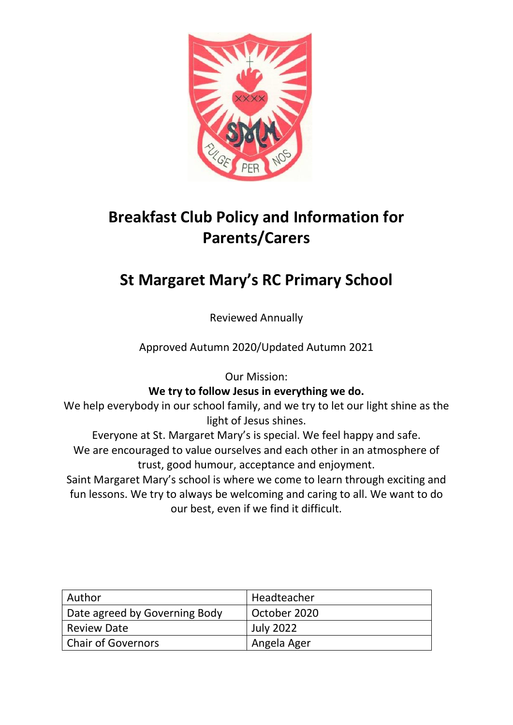

# **Breakfast Club Policy and Information for Parents/Carers**

# **St Margaret Mary's RC Primary School**

Reviewed Annually

Approved Autumn 2020/Updated Autumn 2021

Our Mission:

**We try to follow Jesus in everything we do.**

We help everybody in our school family, and we try to let our light shine as the light of Jesus shines.

Everyone at St. Margaret Mary's is special. We feel happy and safe. We are encouraged to value ourselves and each other in an atmosphere of trust, good humour, acceptance and enjoyment.

Saint Margaret Mary's school is where we come to learn through exciting and fun lessons. We try to always be welcoming and caring to all. We want to do our best, even if we find it difficult.

| l Author                      | Headteacher      |
|-------------------------------|------------------|
| Date agreed by Governing Body | October 2020     |
| Review Date                   | <b>July 2022</b> |
| Chair of Governors            | Angela Ager      |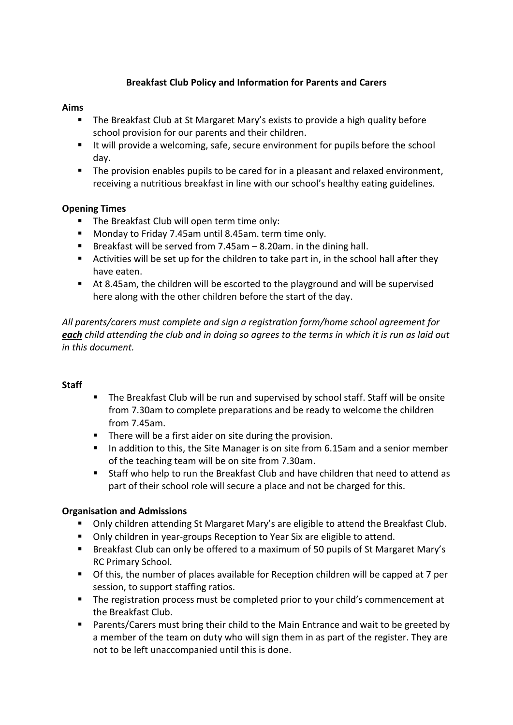# **Breakfast Club Policy and Information for Parents and Carers**

#### **Aims**

- The Breakfast Club at St Margaret Mary's exists to provide a high quality before school provision for our parents and their children.
- If It will provide a welcoming, safe, secure environment for pupils before the school day.
- The provision enables pupils to be cared for in a pleasant and relaxed environment, receiving a nutritious breakfast in line with our school's healthy eating guidelines.

## **Opening Times**

- The Breakfast Club will open term time only:
- Monday to Friday 7.45am until 8.45am. term time only.
- **Breakfast will be served from 7.45am**  $-8.20$ **am. in the dining hall.**
- Activities will be set up for the children to take part in, in the school hall after they have eaten.
- At 8.45am, the children will be escorted to the playground and will be supervised here along with the other children before the start of the day.

*All parents/carers must complete and sign a registration form/home school agreement for each child attending the club and in doing so agrees to the terms in which it is run as laid out in this document.*

## **Staff**

- The Breakfast Club will be run and supervised by school staff. Staff will be onsite from 7.30am to complete preparations and be ready to welcome the children from 7.45am.
- **There will be a first aider on site during the provision.**
- In addition to this, the Site Manager is on site from 6.15am and a senior member of the teaching team will be on site from 7.30am.
- Staff who help to run the Breakfast Club and have children that need to attend as part of their school role will secure a place and not be charged for this.

## **Organisation and Admissions**

- Only children attending St Margaret Mary's are eligible to attend the Breakfast Club.
- Only children in year-groups Reception to Year Six are eligible to attend.
- Breakfast Club can only be offered to a maximum of 50 pupils of St Margaret Mary's RC Primary School.
- Of this, the number of places available for Reception children will be capped at 7 per session, to support staffing ratios.
- The registration process must be completed prior to your child's commencement at the Breakfast Club.
- Parents/Carers must bring their child to the Main Entrance and wait to be greeted by a member of the team on duty who will sign them in as part of the register. They are not to be left unaccompanied until this is done.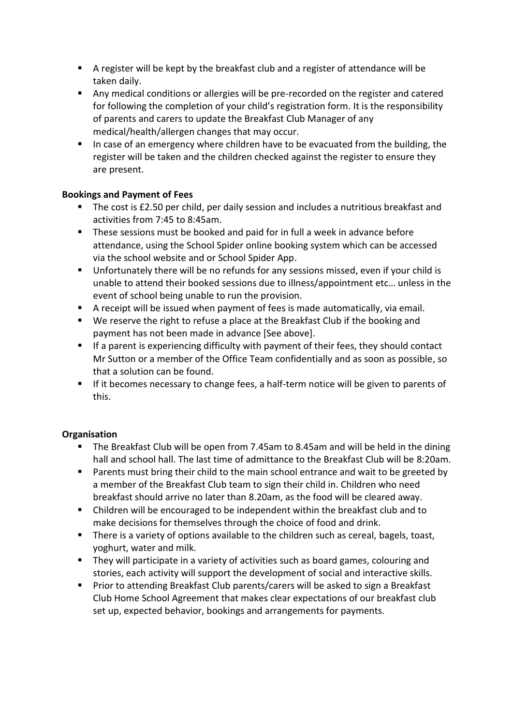- A register will be kept by the breakfast club and a register of attendance will be taken daily.
- Any medical conditions or allergies will be pre-recorded on the register and catered for following the completion of your child's registration form. It is the responsibility of parents and carers to update the Breakfast Club Manager of any medical/health/allergen changes that may occur.
- In case of an emergency where children have to be evacuated from the building, the register will be taken and the children checked against the register to ensure they are present.

# **Bookings and Payment of Fees**

- The cost is £2.50 per child, per daily session and includes a nutritious breakfast and activities from 7:45 to 8:45am.
- These sessions must be booked and paid for in full a week in advance before attendance, using the School Spider online booking system which can be accessed via the school website and or School Spider App.
- Unfortunately there will be no refunds for any sessions missed, even if your child is unable to attend their booked sessions due to illness/appointment etc… unless in the event of school being unable to run the provision.
- A receipt will be issued when payment of fees is made automatically, via email.
- We reserve the right to refuse a place at the Breakfast Club if the booking and payment has not been made in advance [See above].
- **If a parent is experiencing difficulty with payment of their fees, they should contact** Mr Sutton or a member of the Office Team confidentially and as soon as possible, so that a solution can be found.
- If it becomes necessary to change fees, a half-term notice will be given to parents of this.

# **Organisation**

- The Breakfast Club will be open from 7.45am to 8.45am and will be held in the dining hall and school hall. The last time of admittance to the Breakfast Club will be 8:20am.
- **Parents must bring their child to the main school entrance and wait to be greeted by** a member of the Breakfast Club team to sign their child in. Children who need breakfast should arrive no later than 8.20am, as the food will be cleared away.
- Children will be encouraged to be independent within the breakfast club and to make decisions for themselves through the choice of food and drink.
- There is a variety of options available to the children such as cereal, bagels, toast, yoghurt, water and milk.
- **They will participate in a variety of activities such as board games, colouring and** stories, each activity will support the development of social and interactive skills.
- Prior to attending Breakfast Club parents/carers will be asked to sign a Breakfast Club Home School Agreement that makes clear expectations of our breakfast club set up, expected behavior, bookings and arrangements for payments.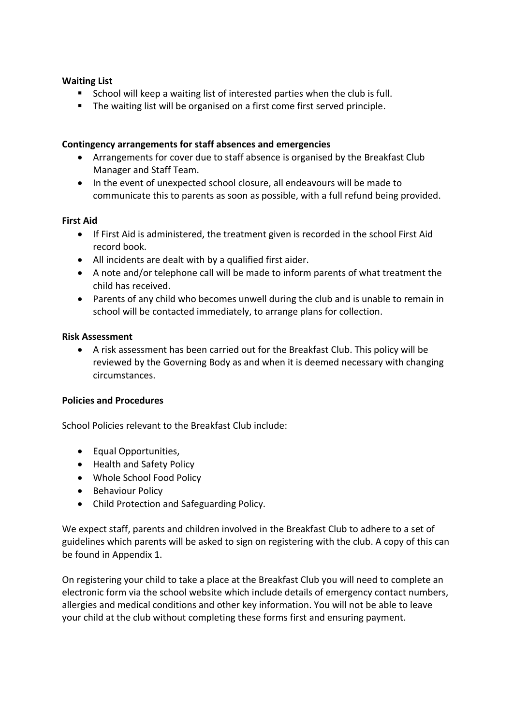#### **Waiting List**

- School will keep a waiting list of interested parties when the club is full.
- **The waiting list will be organised on a first come first served principle.**

#### **Contingency arrangements for staff absences and emergencies**

- Arrangements for cover due to staff absence is organised by the Breakfast Club Manager and Staff Team.
- In the event of unexpected school closure, all endeavours will be made to communicate this to parents as soon as possible, with a full refund being provided.

#### **First Aid**

- If First Aid is administered, the treatment given is recorded in the school First Aid record book.
- All incidents are dealt with by a qualified first aider.
- A note and/or telephone call will be made to inform parents of what treatment the child has received.
- Parents of any child who becomes unwell during the club and is unable to remain in school will be contacted immediately, to arrange plans for collection.

#### **Risk Assessment**

 A risk assessment has been carried out for the Breakfast Club. This policy will be reviewed by the Governing Body as and when it is deemed necessary with changing circumstances.

#### **Policies and Procedures**

School Policies relevant to the Breakfast Club include:

- Equal Opportunities,
- Health and Safety Policy
- Whole School Food Policy
- Behaviour Policy
- Child Protection and Safeguarding Policy.

We expect staff, parents and children involved in the Breakfast Club to adhere to a set of guidelines which parents will be asked to sign on registering with the club. A copy of this can be found in Appendix 1.

On registering your child to take a place at the Breakfast Club you will need to complete an electronic form via the school website which include details of emergency contact numbers, allergies and medical conditions and other key information. You will not be able to leave your child at the club without completing these forms first and ensuring payment.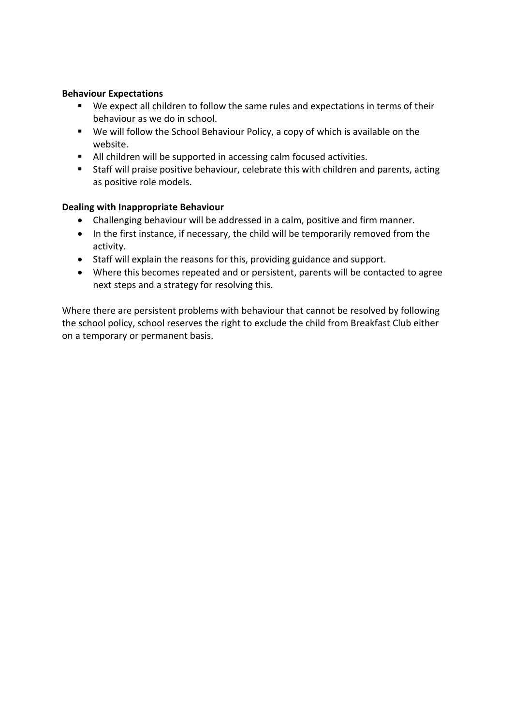#### **Behaviour Expectations**

- We expect all children to follow the same rules and expectations in terms of their behaviour as we do in school.
- We will follow the School Behaviour Policy, a copy of which is available on the website.
- All children will be supported in accessing calm focused activities.
- **Staff will praise positive behaviour, celebrate this with children and parents, acting** as positive role models.

#### **Dealing with Inappropriate Behaviour**

- Challenging behaviour will be addressed in a calm, positive and firm manner.
- In the first instance, if necessary, the child will be temporarily removed from the activity.
- Staff will explain the reasons for this, providing guidance and support.
- Where this becomes repeated and or persistent, parents will be contacted to agree next steps and a strategy for resolving this.

Where there are persistent problems with behaviour that cannot be resolved by following the school policy, school reserves the right to exclude the child from Breakfast Club either on a temporary or permanent basis.